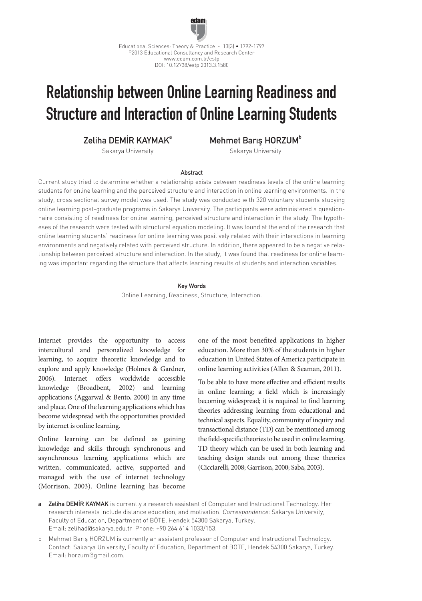

# Relationship between Online Learning Readiness and Structure and Interaction of Online Learning Students

Zeliha DEMİR KAYMAKa

Mehmet Barıs HORZUM<sup>b</sup>

Sakarya University

Sakarya University

## Abstract

Current study tried to determine whether a relationship exists between readiness levels of the online learning students for online learning and the perceived structure and interaction in online learning environments. In the study, cross sectional survey model was used. The study was conducted with 320 voluntary students studying online learning post-graduate programs in Sakarya University. The participants were administered a questionnaire consisting of readiness for online learning, perceived structure and interaction in the study. The hypotheses of the research were tested with structural equation modeling. It was found at the end of the research that online learning students' readiness for online learning was positively related with their interactions in learning environments and negatively related with perceived structure. In addition, there appeared to be a negative relationship between perceived structure and interaction. In the study, it was found that readiness for online learning was important regarding the structure that affects learning results of students and interaction variables.

#### Key Words

Online Learning, Readiness, Structure, Interaction.

Internet provides the opportunity to access intercultural and personalized knowledge for learning, to acquire theoretic knowledge and to explore and apply knowledge (Holmes & Gardner, 2006). Internet offers worldwide accessible knowledge (Broadbent, 2002) and learning applications (Aggarwal & Bento, 2000) in any time and place. One of the learning applications which has become widespread with the opportunities provided by internet is online learning.

Online learning can be defined as gaining knowledge and skills through synchronous and asynchronous learning applications which are written, communicated, active, supported and managed with the use of internet technology (Morrison, 2003). Online learning has become one of the most benefited applications in higher education. More than 30% of the students in higher education in United States of America participate in online learning activities (Allen & Seaman, 2011).

To be able to have more effective and efficient results in online learning; a field which is increasingly becoming widespread; it is required to find learning theories addressing learning from educational and technical aspects. Equality, community of inquiry and transactional distance (TD) can be mentioned among the field-specific theories to be used in online learning. TD theory which can be used in both learning and teaching design stands out among these theories (Cicciarelli, 2008; Garrison, 2000; Saba, 2003).

- a Zeliha DEMİR KAYMAK is currently a research assistant of Computer and Instructional Technology. Her research interests include distance education, and motivation. Correspondence: Sakarya University, Faculty of Education, Department of BÖTE, Hendek 54300 Sakarya, Turkey. Email: zelihad@sakarya.edu.tr Phone: +90 264 614 1033/153.
- b Mehmet Barış HORZUM is currently an assistant professor of Computer and Instructional Technology. Contact: Sakarya University, Faculty of Education, Department of BÖTE, Hendek 54300 Sakarya, Turkey. Email: horzum@gmail.com.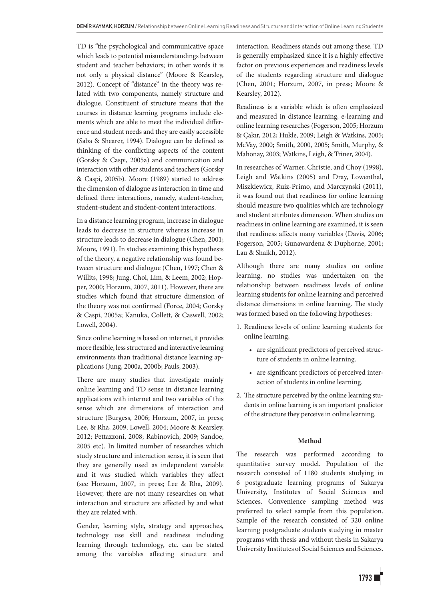TD is "the psychological and communicative space which leads to potential misunderstandings between student and teacher behaviors; in other words it is not only a physical distance" (Moore & Kearsley, 2012). Concept of "distance" in the theory was related with two components, namely structure and dialogue. Constituent of structure means that the courses in distance learning programs include elements which are able to meet the individual difference and student needs and they are easily accessible (Saba & Shearer, 1994). Dialogue can be defined as thinking of the conflicting aspects of the content (Gorsky & Caspi, 2005a) and communication and interaction with other students and teachers (Gorsky & Caspi, 2005b). Moore (1989) started to address the dimension of dialogue as interaction in time and defined three interactions, namely, student-teacher, student-student and student-content interactions.

In a distance learning program, increase in dialogue leads to decrease in structure whereas increase in structure leads to decrease in dialogue (Chen, 2001; Moore, 1991). In studies examining this hypothesis of the theory, a negative relationship was found between structure and dialogue (Chen, 1997; Chen & Willits, 1998; Jung, Choi, Lim, & Leem, 2002; Hopper, 2000; Horzum, 2007, 2011). However, there are studies which found that structure dimension of the theory was not confirmed (Force, 2004; Gorsky & Caspi, 2005a; Kanuka, Collett, & Caswell, 2002; Lowell, 2004).

Since online learning is based on internet, it provides more flexible, less structured and interactive learning environments than traditional distance learning applications (Jung, 2000a, 2000b; Pauls, 2003).

There are many studies that investigate mainly online learning and TD sense in distance learning applications with internet and two variables of this sense which are dimensions of interaction and structure (Burgess, 2006; Horzum, 2007, in press; Lee, & Rha, 2009; Lowell, 2004; Moore & Kearsley, 2012; Pettazzoni, 2008; Rabinovich, 2009; Sandoe, 2005 etc). In limited number of researches which study structure and interaction sense, it is seen that they are generally used as independent variable and it was studied which variables they affect (see Horzum, 2007, in press; Lee & Rha, 2009). However, there are not many researches on what interaction and structure are affected by and what they are related with.

Gender, learning style, strategy and approaches, technology use skill and readiness including learning through technology, etc. can be stated among the variables affecting structure and interaction. Readiness stands out among these. TD is generally emphasized since it is a highly effective factor on previous experiences and readiness levels of the students regarding structure and dialogue (Chen, 2001; Horzum, 2007, in press; Moore & Kearsley, 2012).

Readiness is a variable which is often emphasized and measured in distance learning, e-learning and online learning researches (Fogerson, 2005; Horzum & Çakır, 2012; Hukle, 2009; Leigh & Watkins, 2005; McVay, 2000; Smith, 2000, 2005; Smith, Murphy, & Mahonay, 2003; Watkins, Leigh, & Triner, 2004).

In researches of Warner, Christie, and Choy (1998), Leigh and Watkins (2005) and Dray, Lowenthal, Miszkiewicz, Ruiz-Primo, and Marczynski (2011), it was found out that readiness for online learning should measure two qualities which are technology and student attributes dimension. When studies on readiness in online learning are examined, it is seen that readiness affects many variables (Davis, 2006; Fogerson, 2005; Gunawardena & Duphorne, 2001; Lau & Shaikh, 2012).

Although there are many studies on online learning, no studies was undertaken on the relationship between readiness levels of online learning students for online learning and perceived distance dimensions in online learning. The study was formed based on the following hypotheses:

- 1. Readiness levels of online learning students for online learning,
	- are significant predictors of perceived structure of students in online learning.
	- are significant predictors of perceived interaction of students in online learning.
- 2. The structure perceived by the online learning students in online learning is an important predictor of the structure they perceive in online learning.

## **Method**

The research was performed according to quantitative survey model. Population of the research consisted of 1180 students studying in 6 postgraduate learning programs of Sakarya University, Institutes of Social Sciences and Sciences. Convenience sampling method was preferred to select sample from this population. Sample of the research consisted of 320 online learning postgraduate students studying in master programs with thesis and without thesis in Sakarya University Institutes of Social Sciences and Sciences.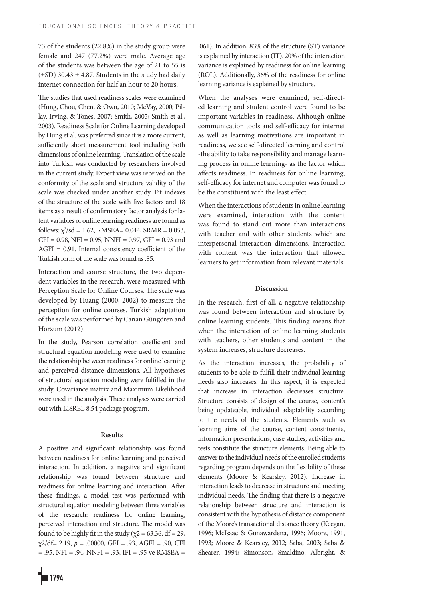73 of the students (22.8%) in the study group were female and 247 (77.2%) were male. Average age of the students was between the age of 21 to 55 is  $(\pm SD)$  30.43  $\pm$  4.87. Students in the study had daily internet connection for half an hour to 20 hours.

The studies that used readiness scales were examined (Hung, Chou, Chen, & Own, 2010; McVay, 2000; Pillay, Irving, & Tones, 2007; Smith, 2005; Smith et al., 2003). Readiness Scale for Online Learning developed by Hung et al. was preferred since it is a more current, sufficiently short measurement tool including both dimensions of online learning. Translation of the scale into Turkish was conducted by researchers involved in the current study. Expert view was received on the conformity of the scale and structure validity of the scale was checked under another study. Fit indexes of the structure of the scale with five factors and 18 items as a result of confirmatory factor analysis for latent variables of online learning readiness are found as follows:  $\chi^2$ /sd = 1.62, RMSEA= 0.044, SRMR = 0.053,  $CFI = 0.98$ ,  $NFI = 0.95$ ,  $NNFI = 0.97$ ,  $GFI = 0.93$  and AGFI = 0.91. Internal consistency coefficient of the Turkish form of the scale was found as .85.

Interaction and course structure, the two dependent variables in the research, were measured with Perception Scale for Online Courses. The scale was developed by Huang (2000; 2002) to measure the perception for online courses. Turkish adaptation of the scale was performed by Canan Güngören and Horzum (2012).

In the study, Pearson correlation coefficient and structural equation modeling were used to examine the relationship between readiness for online learning and perceived distance dimensions. All hypotheses of structural equation modeling were fulfilled in the study. Covariance matrix and Maximum Likelihood were used in the analysis. These analyses were carried out with LISREL 8.54 package program.

## **Results**

A positive and significant relationship was found between readiness for online learning and perceived interaction. In addition, a negative and significant relationship was found between structure and readiness for online learning and interaction. After these findings, a model test was performed with structural equation modeling between three variables of the research: readiness for online learning, perceived interaction and structure. The model was found to be highly fit in the study ( $\chi$ 2 = 63.36, df = 29,  $\chi$ 2/df = 2.19,  $p = .00000$ , GFI = .93, AGFI = .90, CFI  $= .95$ , NFI  $= .94$ , NNFI  $= .93$ , IFI  $= .95$  ve RMSEA  $=$  .061). In addition, 83% of the structure (ST) variance is explained by interaction (IT). 20% of the interaction variance is explained by readiness for online learning (ROL). Additionally, 36% of the readiness for online learning variance is explained by structure.

When the analyses were examined, self-directed learning and student control were found to be important variables in readiness. Although online communication tools and self-efficacy for internet as well as learning motivations are important in readiness, we see self-directed learning and control -the ability to take responsibility and manage learning process in online learning- as the factor which affects readiness. In readiness for online learning, self-efficacy for internet and computer was found to be the constituent with the least effect.

When the interactions of students in online learning were examined, interaction with the content was found to stand out more than interactions with teacher and with other students which are interpersonal interaction dimensions. Interaction with content was the interaction that allowed learners to get information from relevant materials.

## **Discussion**

In the research, first of all, a negative relationship was found between interaction and structure by online learning students. This finding means that when the interaction of online learning students with teachers, other students and content in the system increases, structure decreases.

As the interaction increases, the probability of students to be able to fulfill their individual learning needs also increases. In this aspect, it is expected that increase in interaction decreases structure. Structure consists of design of the course, content's being updateable, individual adaptability according to the needs of the students. Elements such as learning aims of the course, content constituents, information presentations, case studies, activities and tests constitute the structure elements. Being able to answer to the individual needs of the enrolled students regarding program depends on the flexibility of these elements (Moore & Kearsley, 2012). Increase in interaction leads to decrease in structure and meeting individual needs. The finding that there is a negative relationship between structure and interaction is consistent with the hypothesis of distance component of the Moore's transactional distance theory (Keegan, 1996; McIsaac & Gunawardena, 1996; Moore, 1991, 1993; Moore & Kearsley, 2012; Saba, 2003; Saba & Shearer, 1994; Simonson, Smaldino, Albright, &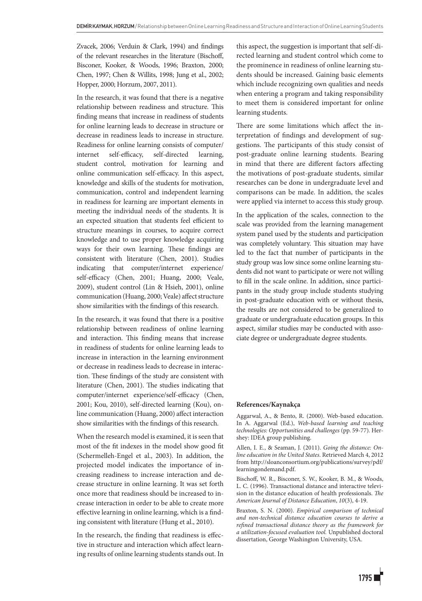Zvacek, 2006; Verduin & Clark, 1994) and findings of the relevant researches in the literature (Bischoff, Bisconer, Kooker, & Woods, 1996; Braxton, 2000; Chen, 1997; Chen & Willits, 1998; Jung et al., 2002; Hopper, 2000; Horzum, 2007, 2011).

In the research, it was found that there is a negative relationship between readiness and structure. This finding means that increase in readiness of students for online learning leads to decrease in structure or decrease in readiness leads to increase in structure. Readiness for online learning consists of computer/ internet self-efficacy, self-directed learning, student control, motivation for learning and online communication self-efficacy. In this aspect, knowledge and skills of the students for motivation, communication, control and independent learning in readiness for learning are important elements in meeting the individual needs of the students. It is an expected situation that students feel efficient to structure meanings in courses, to acquire correct knowledge and to use proper knowledge acquiring ways for their own learning. These findings are consistent with literature (Chen, 2001). Studies indicating that computer/internet experience/ self-efficacy (Chen, 2001; Huang, 2000; Veale, 2009), student control (Lin & Hsieh, 2001), online communication (Huang, 2000; Veale) affect structure show similarities with the findings of this research.

In the research, it was found that there is a positive relationship between readiness of online learning and interaction. This finding means that increase in readiness of students for online learning leads to increase in interaction in the learning environment or decrease in readiness leads to decrease in interaction. These findings of the study are consistent with literature (Chen, 2001). The studies indicating that computer/internet experience/self-efficacy (Chen, 2001; Kou, 2010), self-directed learning (Kou), online communication (Huang, 2000) affect interaction show similarities with the findings of this research.

When the research model is examined, it is seen that most of the fit indexes in the model show good fit (Schermelleh-Engel et al., 2003). In addition, the projected model indicates the importance of increasing readiness to increase interaction and decrease structure in online learning. It was set forth once more that readiness should be increased to increase interaction in order to be able to create more effective learning in online learning, which is a finding consistent with literature (Hung et al., 2010).

In the research, the finding that readiness is effective in structure and interaction which affect learning results of online learning students stands out. In this aspect, the suggestion is important that self-directed learning and student control which come to the prominence in readiness of online learning students should be increased. Gaining basic elements which include recognizing own qualities and needs when entering a program and taking responsibility to meet them is considered important for online learning students.

There are some limitations which affect the interpretation of findings and development of suggestions. The participants of this study consist of post-graduate online learning students. Bearing in mind that there are different factors affecting the motivations of post-graduate students, similar researches can be done in undergraduate level and comparisons can be made. In addition, the scales were applied via internet to access this study group.

In the application of the scales, connection to the scale was provided from the learning management system panel used by the students and participation was completely voluntary. This situation may have led to the fact that number of participants in the study group was low since some online learning students did not want to participate or were not willing to fill in the scale online. In addition, since participants in the study group include students studying in post-graduate education with or without thesis, the results are not considered to be generalized to graduate or undergraduate education groups. In this aspect, similar studies may be conducted with associate degree or undergraduate degree students.

### **References/Kaynakça**

Aggarwal, A., & Bento, R. (2000). Web-based education. In A. Aggarwal (Ed.), *Web-based learning and teaching technologies: Opportunities and challenges* (pp. 59-77)*.* Hershey: IDEA group publishing.

Allen, I. E., & Seaman, J. (2011). *Going the distance: Online education in the United States*. Retrieved March 4, 2012 from http://sloanconsortium.org/publications/survey/pdf/ learningondemand.pdf.

Bischoff, W. R., Bisconer, S. W., Kooker, B. M., & Woods, L. C. (1996). Transactional distance and interactive television in the distance education of health professionals. *The American Journal of Distance Education*, *10*(3), 4-19.

Braxton, S. N. (2000). *Empirical comparison of technical and non-technical distance education courses to derive a refined transactional distance theory as the framework for a utilization-focused evaluation tool.* Unpublished doctoral dissertation, George Washington University, USA.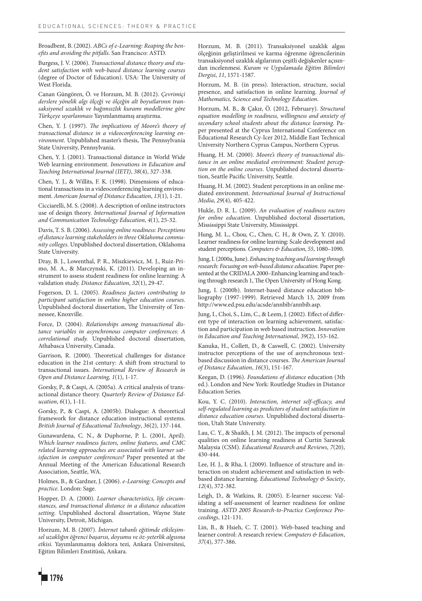Broadbent, B. (2002). *ABCs of e-Learning: Reaping the benefits and avoiding the pitfalls*. San Francisco: ASTD.

Burgess, J. V. (2006). *Transactional distance theory and student satisfaction with web-based distance learning courses* (degree of Doctor of Education). USA: The University of West Florida.

Canan Güngören, Ö. ve Horzum, M. B. (2012). *Çevrimiçi derslere yönelik algı ölçeği ve ölçeğin alt boyutlarının transaksiyonel uzaklık ve bağımsızlık kuramı modellerine göre Türkçeye uyarlanması* Yayımlanmamış araştırma.

Chen, Y. J. (1997). *The implications of Moore's theory of transactional distance in a videoconferencing learning environment*. Unpublished master's thesis, The Pennsylvania State University, Pennsylvania.

Chen, Y. J. (2001). Transactional distance in World Wide Web learning environment. *Innovations in Education and Teaching International Journal (IETI)*, *38*(4), 327-338.

Chen, Y. J., & Willits, F. K. (1998). Dimensions of educational transactions in a videoconferencing learning environment. *American Journal of Distance Education*, *13*(1), 1-21.

Cicciarelli, M. S. (2008). A description of online instructors use of design theory. *International Journal of Information and Communication Technology Education*, *4*(1), 25-32.

Davis, T. S. B. (2006). *Assessing online readiness: Perceptions of distance learning stakeholders in three Oklahoma community colleges*. Unpublished doctoral dissertation, Oklahoma State University.

Dray, B. J., Lowenthal, P. R., Miszkiewicz, M. J., Ruiz-Primo, M. A., & Marczynski, K. (2011). Developing an instrument to assess student readiness for online learning: A validation study. *Distance Education*, *32*(1), 29-47.

Fogerson, D. L. (2005). *Readiness factors contributing to participant satisfaction in online higher education courses*. Unpublished doctoral dissertation, The University of Tennessee, Knoxville.

Force, D. (2004). *Relationships among transactional distance variables in asynchronous computer conferences: A correlational study.* Unpublished doctoral dissertation, Athabasca University, Canada.

Garrison, R. (2000). Theoretical challenges for distance education in the 21st century: A shift from structural to transactional issues. *International Review of Research in Open and Distance Learning, 1*(1), 1-17.

Gorsky, P., & Caspi, A. (2005a). A critical analysis of transactional distance theory. *Quarterly Review of Distance Education*, *6*(1), 1-11.

Gorsky, P., & Caspi, A. (2005b). Dialogue: A theoretical framework for distance education instructional systems. *British Journal of Educational Technology*, *36*(2), 137-144.

Gunawardena, C. N., & Duphorne, P. L. (2001, April). *Which learner readiness factors, online features, and CMC related learning approaches are associated with learner satisfaction in computer conferences?* Paper presented at the Annual Meeting of the American Educational Research Association, Seattle, WA.

Holmes, B., & Gardner, J. (2006). *e-Learning: Concepts and practice*. London: Sage.

Hopper, D. A. (2000). *Learner characteristics, life circumstances, and transactional distance in a distance education setting*. Unpublished doctoral dissertation, Wayne State University, Detroit, Michigan.

Horzum, M. B. (2007). *İnternet tabanlı eğitimde etkileşimsel uzaklığın öğrenci başarısı, doyumu ve öz-yeterlik algısına etkisi*. Yayımlanmamış doktora tezi, Ankara Üniversitesi, Eğitim Bilimleri Enstitüsü, Ankara.

Horzum, M. B. (2011). Transaksiyonel uzaklık algısı ölçeğinin geliştirilmesi ve karma öğrenme öğrencilerinin transaksiyonel uzaklık algılarının çeşitli değişkenler açısından incelenmesi. *Kuram ve Uygulamada Eğitim Bilimleri Dergisi*, *11*, 1571-1587.

Horzum, M. B. (in press). Interaction, structure, social presence, and satisfaction in online learning. *Journal of Mathematics, Science and Technology Education*.

Horzum, M. B., & Çakır, Ö. (2012, February). *Structural equation modelling in readiness, willingness and anxiety of secondary school students about the distance learning*. Paper presented at the Cyprus International Conference on Educational Research Cy-Icer 2012, Middle East Technical University Northern Cyprus Campus, Northern Cyprus.

Huang, H. M. (2000). *Moore's theory of transactional distance in an online mediated environment: Student perception on the online courses*. Unpublished doctoral dissertation, Seattle Pacific University, Seattle.

Huang, H. M. (2002). Student perceptions in an online mediated environment. *International Journal of Instructional Media*, *29*(4), 405-422.

Hukle, D. R. L. (2009). *An evaluation of readiness ractors for online education*. Unpublished doctoral dissertation, Mississippi State University, Mississippi.

Hung, M. L., Chou, C., Chen, C. H., & Own, Z. Y. (2010). Learner readiness for online learning: Scale development and student perceptions*. Computers & Education*, *55*, 1080–1090.

Jung, I. (2000a, June). *Enhancing teaching and learning through research: Focusing on web-based distance education*. Paper presented at the CRIDALA 2000–Enhancing learning and teaching through research 1, The Open University of Hong Kong.

Jung, I. (2000b). Internet-based distance education bibliography (1997-1999). Retrieved March 13, 2009 from http://www.ed.psu.edu/acsde/annbib/annbib.asp.

Jung, I., Choi, S., Lim, C., & Leem, J. (2002). Effect of different type of interaction on learning achievement, satisfaction and participation in web based instruction. *Innovation in Education and Teaching International*, *39*(2), 153-162.

Kanuka, H., Collett, D., & Caswell, C. (2002). University instructor perceptions of the use of asynchronous textbased discussion in distance courses. *The American Journal of Distance Education*, *16*(3), 151-167.

Keegan, D. (1996). *Foundations of distance* education (3th ed.). London and New York: Routledge Studies in Distance Education Series.

Kou, Y. C. (2010). *Interaction, internet self-efficacy, and self-regulated learning as predictors of student satisfaction in distance education courses*. Unpublished doctoral dissertation, Utah State University.

Lau, C. Y., & Shaikh, J. M. (2012). The impacts of personal qualities on online learning readiness at Curtin Sarawak Malaysia (CSM). *Educational Research and Reviews, 7*(20), 430-444.

Lee, H. J., & Rha, I. (2009). Influence of structure and interaction on student achievement and satisfaction in webbased distance learning. *Educational Technology & Society*, *12*(4), 372-382.

Leigh, D., & Watkins, R. (2005). E-learner success: Validating a self-assessment of learner readiness for online training. *ASTD 2005 Research-to-Practice Conference Proceedings*, 121-131.

Lin, B., & Hsieh, C. T. (2001). Web-based teaching and learner control: A research review. *Computers & Education*, *37*(4), 377-386.